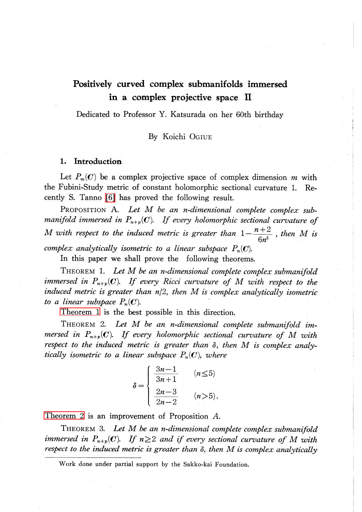# Positively curved complex submanifolds immersed in a complex projective space II

Dedicated to Professor Y. Katsurada on her 60th birthday

# By Koichi OGIUE

#### 1. Introduction

Let  $P_{m}(C)$  be a complex projective space of complex dimension m with the Fubini-Study metric of constant holomorphic sectional curvature 1. Recently S. Tanno [\[6\]](#page-4-0) has proved the following result.

PROPOSITION A. Let M be an n-dimensional complete complex submanifold immersed in  $P_{n+p}(C)$ . If every holomorphic sectional curvature of M with respect to the induced metric is greater than  $1 - \frac{n+2}{6n^{2}}$ , then M is complex analytically isometric to a linear subspace  $P_{n}(C)$ .

<span id="page-0-0"></span>In this paper we shall prove the following theorems.

THEOREM 1. Let  $M$  be an n-dimensional complete complex submanifold immersed in  $P_{n+p}(\mathbf{C})$ . If every Ricci curvature of M with respect to the induced metric is greater than  $n/2$ , then  $M$  is complex analytically isometric to a linear subspace  $P_{n}(\mathbf{C})$ .

<span id="page-0-1"></span>[Theorem](#page-0-0) 1 is the best possible in this direction.

THEOREM 2. Let M be an n-dimensional complete submanifold immersed in  $P_{n+p}(C)$ . If every holomorphic sectional curvature of M with respect to the induced metric is greater than  $\delta,$  then  $M$  is complex analytically isometric to a linear subspace  $P_{n}(\mathbf{C})$ , where

$$
\delta = \begin{cases}\n\frac{3n-1}{3n+1} & (n \le 5) \\
\frac{2n-3}{2n-2} & (n > 5).\n\end{cases}
$$

[Theorem](#page-0-1) 2 is an improvement of Proposition A.

<span id="page-0-2"></span>THEOREM 3. Let M be an n-dimensional complete complex submanifold immersed in  $P_{n+p}(C)$ . If  $n\geq 2$  and if every sectional curvature of M with respect to the induced metric is greater than  $\delta,$  then  $M$  is complex analytically

Work done under partial support by the Sakko-kai Foundation.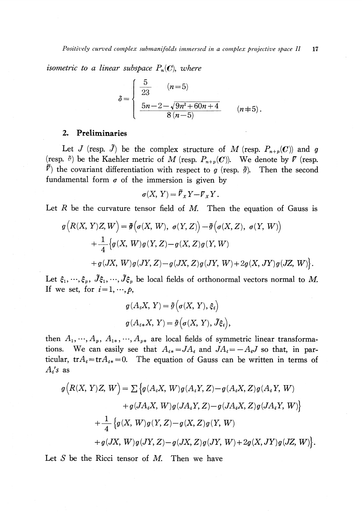isometric to a linear subspace  $P_{n}(C)$ , where

$$
\delta = \begin{cases}\n\frac{5}{23} & (n=5) \\
\frac{5n-2-\sqrt{9n^2+60n+4}}{8(n-5)} & (n \neq 5).\n\end{cases}
$$

## 2. Preliminaries

Let J (resp.  $\tilde{J}$ ) be the complex structure of M (resp.  $P_{n+p}(C)$ ) and g (resp.  $\tilde{\sigma}$ ) be the Kaehler metric of M (resp.  $P_{n+p}(\mathcal{C})$ ). We denote by  $\nabla$  (resp.  $\tilde{\mathcal{V}}$ ) the covariant differentiation with respect to g (resp.  $\tilde{g}$ ). Then the second fundamental form  $\sigma$  of the immersion is given by

$$
\sigma(X, Y) = \overline{Y}_X Y - \overline{Y}_X Y.
$$

Let  $R$  be the curvature tensor field of  $M$ . Then the equation of Gauss is

$$
g\left(R(X, Y)Z, W\right) = \tilde{g}\left(\sigma(X, W), \sigma(Y, Z)\right) - \tilde{g}\left(\sigma(X, Z), \sigma(Y, W)\right)
$$
  
+ 
$$
\frac{1}{4}\left\{g(X, W)g(Y, Z) - g(X, Z)g(Y, W)\right\}
$$
  
+ 
$$
g(JX, W)g(JY, Z) - g(JX, Z)g(JY, W) + 2g(X, JY)g(JZ, W)\right\}.
$$

Let  $\xi_{1}, \cdot\cdot\cdot, \xi_{p},\ \tilde{J}\xi_{1}, \cdot\cdot\cdot, \tilde{J}\xi_{p}$  be local fields of orthonormal vectors normal to  $M$ . If we set, for  $i=1, \dots, p$ ,

$$
g(A_iX, Y) = \tilde{g}(\sigma(X, Y), \xi_i)
$$
  

$$
g(A_{i*}X, Y) = \tilde{g}(\sigma(X, Y), \tilde{J}\xi_i),
$$

then  $A_{1}, \cdot \cdot \cdot, A_{p}, \ A_{1*}, \cdot \cdot \cdot, A_{p*}$  are local fields of symmetric linear transformations. We can easily see that  $A_{i*}=JA_{i}$  and  $JA_{i}=-A_{i}J$  so that, in particular, tr $A_{i}$ =tr $A_{i*}=0$ . The equation of Gauss can be written in terms of  $A_{i}$ 's as

$$
g\Big(R(X, Y)Z, W\Big) = \sum \Big\{g(A_iX, W)g(A_iY, Z) - g(A_iX, Z)g(A_iY, W) + g(JA_iX, W)g(JA_iY, Z) - g(JA_iX, Z)g(JA_iY, W)\Big\} + \frac{1}{4}\Big\{g(X, W)g(Y, Z) - g(X, Z)g(Y, W) + g(JX, W)g(JY, Z) - g(JX, Z)g(JY, W) + 2g(X, JY)g(JZ, W)\Big\}.
$$

Let S be the Ricci tensor of  $M$ . Then we have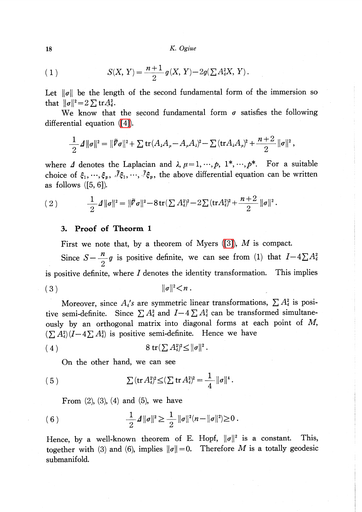18 K. Ogiue

(1) 
$$
S(X, Y) = \frac{n+1}{2} g(X, Y) - 2g(\sum A_i^2 X, Y).
$$

Let  $\|\sigma\|$  be the length of the second fundamental form of the immersion so that  $\|\sigma\|^{2}=2\sum \mathrm{tr}A_{i}^{2}$ .

We know that the second fundamental form  $\sigma$  satisfies the following differential equation [\(\[4\]\)](#page-4-1).

$$
\frac{1}{2} \mathcal{A} \|\sigma\|^2 = \|\tilde{\mathcal{F}}\sigma\|^2 + \sum tr(A_{\lambda}A_{\mu} - A_{\mu}A_{\lambda})^2 - \sum (tr A_{\lambda}A_{\mu})^2 + \frac{n+2}{2}||\sigma||^2,
$$

where  $\Delta$  denotes the Laplacian and  $\lambda$ ,  $\mu=1, \dots, p, \ 1^{*}, \dots, p^{*}$ . For a suitable choice of  $\xi_{1}, \dots, \xi_{p}, \bar{J}\xi_{1}, \dots, \bar{J}\xi_{p}$ , the above differential equation can be written as follows  $(5, 6)$ .

(2) 
$$
\frac{1}{2} \mathcal{A} \|\sigma\|^2 = \|\tilde{\mathcal{F}}\sigma\|^2 - 8 \operatorname{tr}(\sum A_i^2)^2 - 2 \sum (\operatorname{tr} A_i^2)^2 + \frac{n+2}{2} \|\sigma\|^2.
$$

## 3. Proof of Theorm <sup>1</sup>

First we note that, by a theorem of Myers  $([3])$ , M is compact.

Since  $S - \frac{n}{2}g$  is positive definite, we can see from (1) that  $I-4 \sum A_{i}^{2}$ is positive definite, where  $I$  denotes the identity transformation. This implies (3)  $\|\sigma\|^{2} \leq n$ .

Moreover, since  $A_{i}'s$  are symmetric linear transformations,  $\sum A_{i}^{2}$  is positive semi-definite. Since  $\sum A_{i}^{2}$  and  $I-4 \sum A_{i}^{2}$  can be transformed simultaneously by an orthogonal matrix into diagonal forms at each point of M,  $(\sum A_{i}^{2})(I-4\sum A_{i}^{2})$  is positive semi-definite. Hence we have

$$
(4) \qquad \qquad 8 \operatorname{tr}(\sum A_i^2)^2 \leq ||\sigma||^2.
$$

On the other hand, we can see

(5) 
$$
\sum (\text{tr } A_i^2)^2 \leq (\sum \text{tr } A_i^2)^2 = \frac{1}{4} ||\sigma||^4.
$$

From  $(2)$ ,  $(3)$ ,  $(4)$  and  $(5)$ , we have

(6) 
$$
\frac{1}{2} \mathcal{A} \|\sigma\|^2 \geq \frac{1}{2} \|\sigma\|^2 (n - \|\sigma\|^2) \geq 0.
$$

Hence, by a well-known theorem of E. Hopf,  $||\sigma||^{2}$  is a constant. This, together with (3) and (6), implies  $\|\sigma\|=0$ . Therefore M is a totally geodesic submanifold.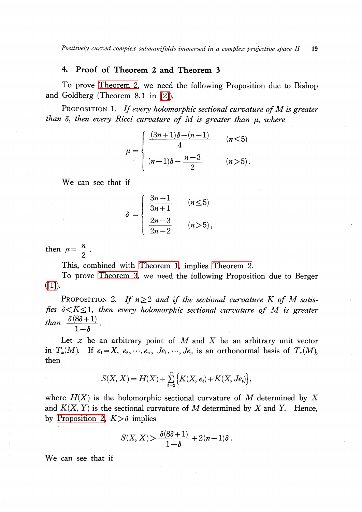# 4. Proof of Theorem 2 and Theorem 3

To prove [Theorem](#page-0-1) 2, we need the following Proposition due to Bishop and Goldberg (Theorem 8. <sup>1</sup> in [\[2\]\)](#page-4-3).

PROPOSITION 1. If every holomorphic sectional curvature of  $M$  is greater than  $\delta,$  then every Ricci curvature of  $M$  is greater than  $\mu,$  where

$$
\mu = \begin{cases}\n\frac{(3n+1)\delta - (n-1)}{4} & (n \le 5) \\
(n-1)\delta - \frac{n-3}{2} & (n > 5).\n\end{cases}
$$

We can see that if

$$
\delta = \begin{cases} \frac{3n-1}{3n+1} & (n \le 5) \\ \frac{2n-3}{2n-2} & (n > 5), \end{cases}
$$

then  $\mu=\frac{n}{2}$ .

This, combined with [Theorem](#page-0-0) 1, implies [Theorem](#page-0-1) 2.

To prove [Theorem](#page-0-2) 3, we need the following Proposition due to Berger  $([1])$ .

<span id="page-3-0"></span>PROPOSITION 2. If  $n \geq 2$  and if the sectional curvature K of M satisfies  $\delta < K \leq 1$ , then every holomorphic sectional curvature of M is greater than  $\frac{0(80+1)}{1-\delta}$ .

Let  $x$  be an arbitrary point of  $M$  and  $X$  be an arbitrary unit vector in  $T_{x}(M)$ . If  $e_{1}=X, e_{2}, \cdots, e_{n}$ ,  $Je_{1}, \cdots, Je_{n}$  is an orthonormal basis of  $T_{x}(M)$ , then

$$
S(X, X) = H(X) + \sum_{i=2}^{n} \left\{ K(X, e_i) + K(X, Je_i) \right\},
$$

where  $H(X)$  is the holomorphic sectional curvature of M determined by X and  $K(X, Y)$  is the sectional curvature of M determined by X and Y. Hence, by [Proposition](#page-3-0) 2,  $K > \delta$  implies

$$
S(X, X) > \frac{\delta(8\delta + 1)}{1 - \delta} + 2(n - 1)\delta \, .
$$

We can see that if